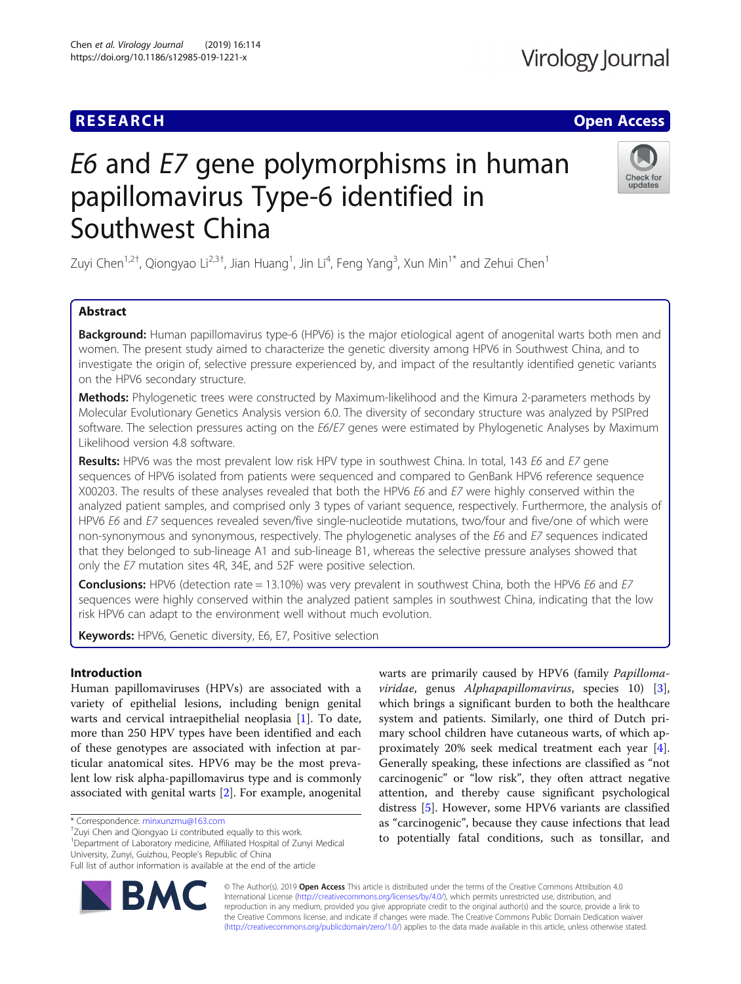## **RESEARCH CHE Open Access**

# E6 and E7 gene polymorphisms in human papillomavirus Type-6 identified in Southwest China

Zuyi Chen $^{1,2\dagger}$ , Qiongyao Li $^{2,3\dagger}$ , Jian Huang $^{1}$ , Jin Li $^{4}$ , Feng Yang $^{3}$ , Xun Min $^{1^*}$  and Zehui Chen $^{1}$ 

### Abstract

Background: Human papillomavirus type-6 (HPV6) is the major etiological agent of anogenital warts both men and women. The present study aimed to characterize the genetic diversity among HPV6 in Southwest China, and to investigate the origin of, selective pressure experienced by, and impact of the resultantly identified genetic variants on the HPV6 secondary structure.

Methods: Phylogenetic trees were constructed by Maximum-likelihood and the Kimura 2-parameters methods by Molecular Evolutionary Genetics Analysis version 6.0. The diversity of secondary structure was analyzed by PSIPred software. The selection pressures acting on the E6/E7 genes were estimated by Phylogenetic Analyses by Maximum Likelihood version 4.8 software.

Results: HPV6 was the most prevalent low risk HPV type in southwest China. In total, 143 E6 and E7 gene sequences of HPV6 isolated from patients were sequenced and compared to GenBank HPV6 reference sequence X00203. The results of these analyses revealed that both the HPV6 E6 and E7 were highly conserved within the analyzed patient samples, and comprised only 3 types of variant sequence, respectively. Furthermore, the analysis of HPV6 E6 and E7 sequences revealed seven/five single-nucleotide mutations, two/four and five/one of which were non-synonymous and synonymous, respectively. The phylogenetic analyses of the E6 and E7 sequences indicated that they belonged to sub-lineage A1 and sub-lineage B1, whereas the selective pressure analyses showed that only the E7 mutation sites 4R, 34E, and 52F were positive selection.

**Conclusions:** HPV6 (detection rate = 13.10%) was very prevalent in southwest China, both the HPV6 E6 and E7 sequences were highly conserved within the analyzed patient samples in southwest China, indicating that the low risk HPV6 can adapt to the environment well without much evolution.

Keywords: HPV6, Genetic diversity, E6, E7, Positive selection

#### Introduction

Human papillomaviruses (HPVs) are associated with a variety of epithelial lesions, including benign genital warts and cervical intraepithelial neoplasia [\[1](#page-7-0)]. To date, more than 250 HPV types have been identified and each of these genotypes are associated with infection at particular anatomical sites. HPV6 may be the most prevalent low risk alpha-papillomavirus type and is commonly associated with genital warts [[2](#page-7-0)]. For example, anogenital

<sup>1</sup>Department of Laboratory medicine, Affiliated Hospital of Zunyi Medical

© The Author(s). 2019 Open Access This article is distributed under the terms of the Creative Commons Attribution 4.0 International License [\(http://creativecommons.org/licenses/by/4.0/](http://creativecommons.org/licenses/by/4.0/)), which permits unrestricted use, distribution, and reproduction in any medium, provided you give appropriate credit to the original author(s) and the source, provide a link to the Creative Commons license, and indicate if changes were made. The Creative Commons Public Domain Dedication waiver [\(http://creativecommons.org/publicdomain/zero/1.0/](http://creativecommons.org/publicdomain/zero/1.0/)) applies to the data made available in this article, unless otherwise stated.

warts are primarily caused by HPV6 (family Papillomaviridae, genus Alphapapillomavirus, species  $10$  [\[3](#page-7-0)], which brings a significant burden to both the healthcare system and patients. Similarly, one third of Dutch primary school children have cutaneous warts, of which approximately 20% seek medical treatment each year [\[4](#page-7-0)]. Generally speaking, these infections are classified as "not carcinogenic" or "low risk", they often attract negative attention, and thereby cause significant psychological distress [[5\]](#page-7-0). However, some HPV6 variants are classified as "carcinogenic", because they cause infections that lead to potentially fatal conditions, such as tonsillar, and

\* Correspondence: [minxunzmu@163.com](mailto:minxunzmu@163.com) † <sup>+</sup>Zuyi Chen and Qiongyao Li contributed equally to this work.

University, Zunyi, Guizhou, People's Republic of China





Full list of author information is available at the end of the article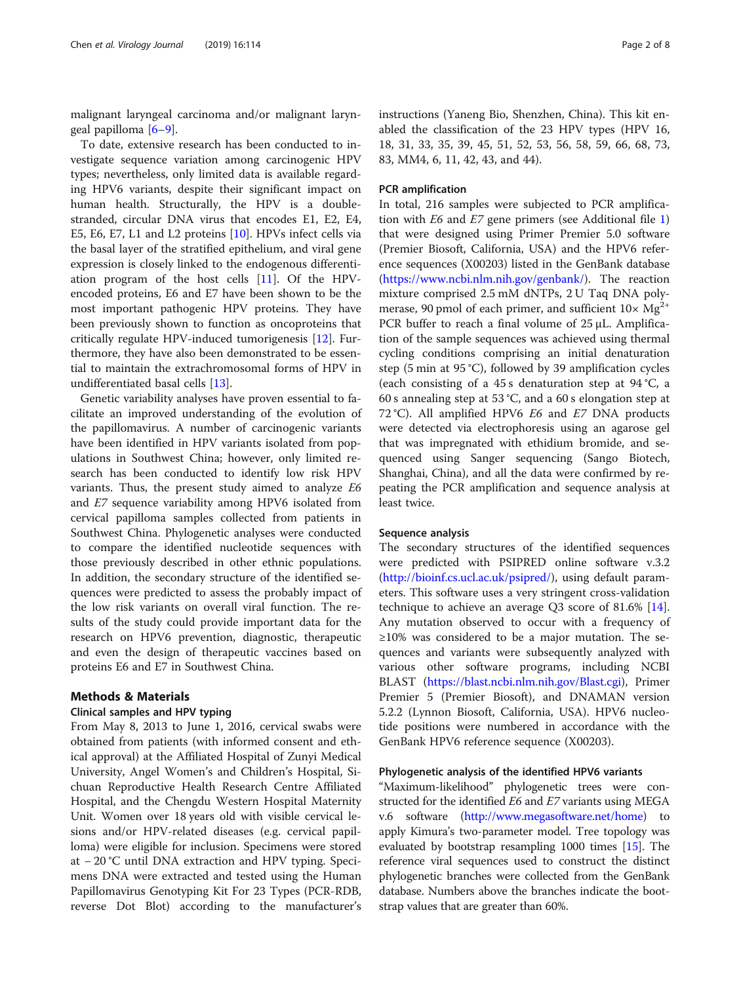malignant laryngeal carcinoma and/or malignant laryngeal papilloma [[6](#page-7-0)–[9\]](#page-7-0).

To date, extensive research has been conducted to investigate sequence variation among carcinogenic HPV types; nevertheless, only limited data is available regarding HPV6 variants, despite their significant impact on human health. Structurally, the HPV is a doublestranded, circular DNA virus that encodes E1, E2, E4, E5, E6, E7, L1 and L2 proteins [[10\]](#page-7-0). HPVs infect cells via the basal layer of the stratified epithelium, and viral gene expression is closely linked to the endogenous differentiation program of the host cells [[11](#page-7-0)]. Of the HPVencoded proteins, E6 and E7 have been shown to be the most important pathogenic HPV proteins. They have been previously shown to function as oncoproteins that critically regulate HPV-induced tumorigenesis [\[12](#page-7-0)]. Furthermore, they have also been demonstrated to be essential to maintain the extrachromosomal forms of HPV in undifferentiated basal cells [[13](#page-7-0)].

Genetic variability analyses have proven essential to facilitate an improved understanding of the evolution of the papillomavirus. A number of carcinogenic variants have been identified in HPV variants isolated from populations in Southwest China; however, only limited research has been conducted to identify low risk HPV variants. Thus, the present study aimed to analyze E6 and E7 sequence variability among HPV6 isolated from cervical papilloma samples collected from patients in Southwest China. Phylogenetic analyses were conducted to compare the identified nucleotide sequences with those previously described in other ethnic populations. In addition, the secondary structure of the identified sequences were predicted to assess the probably impact of the low risk variants on overall viral function. The results of the study could provide important data for the research on HPV6 prevention, diagnostic, therapeutic and even the design of therapeutic vaccines based on proteins E6 and E7 in Southwest China.

#### Methods & Materials

#### Clinical samples and HPV typing

From May 8, 2013 to June 1, 2016, cervical swabs were obtained from patients (with informed consent and ethical approval) at the Affiliated Hospital of Zunyi Medical University, Angel Women's and Children's Hospital, Sichuan Reproductive Health Research Centre Affiliated Hospital, and the Chengdu Western Hospital Maternity Unit. Women over 18 years old with visible cervical lesions and/or HPV-related diseases (e.g. cervical papilloma) were eligible for inclusion. Specimens were stored at − 20 °C until DNA extraction and HPV typing. Specimens DNA were extracted and tested using the Human Papillomavirus Genotyping Kit For 23 Types (PCR-RDB, reverse Dot Blot) according to the manufacturer's instructions (Yaneng Bio, Shenzhen, China). This kit enabled the classification of the 23 HPV types (HPV 16, 18, 31, 33, 35, 39, 45, 51, 52, 53, 56, 58, 59, 66, 68, 73, 83, MM4, 6, 11, 42, 43, and 44).

#### PCR amplification

In total, 216 samples were subjected to PCR amplification with E6 and E7 gene primers (see Additional file [1](#page-6-0)) that were designed using Primer Premier 5.0 software (Premier Biosoft, California, USA) and the HPV6 reference sequences (X00203) listed in the GenBank database ([https://www.ncbi.nlm.nih.gov/genbank/\)](https://www.ncbi.nlm.nih.gov/genbank/). The reaction mixture comprised 2.5 mM dNTPs, 2 U Taq DNA polymerase, 90 pmol of each primer, and sufficient  $10 \times Mg^{2+}$ PCR buffer to reach a final volume of 25 μL. Amplification of the sample sequences was achieved using thermal cycling conditions comprising an initial denaturation step (5 min at 95 °C), followed by 39 amplification cycles (each consisting of a 45 s denaturation step at 94 °C, a 60 s annealing step at 53 °C, and a 60 s elongation step at 72 °C). All amplified HPV6 E6 and E7 DNA products were detected via electrophoresis using an agarose gel that was impregnated with ethidium bromide, and sequenced using Sanger sequencing (Sango Biotech, Shanghai, China), and all the data were confirmed by repeating the PCR amplification and sequence analysis at least twice.

#### Sequence analysis

The secondary structures of the identified sequences were predicted with PSIPRED online software v.3.2 ([http://bioinf.cs.ucl.ac.uk/psipred/\)](http://bioinf.cs.ucl.ac.uk/psipred/), using default parameters. This software uses a very stringent cross-validation technique to achieve an average Q3 score of 81.6% [\[14](#page-7-0)]. Any mutation observed to occur with a frequency of ≥10% was considered to be a major mutation. The sequences and variants were subsequently analyzed with various other software programs, including NCBI BLAST (<https://blast.ncbi.nlm.nih.gov/Blast.cgi>), Primer Premier 5 (Premier Biosoft), and DNAMAN version 5.2.2 (Lynnon Biosoft, California, USA). HPV6 nucleotide positions were numbered in accordance with the GenBank HPV6 reference sequence (X00203).

#### Phylogenetic analysis of the identified HPV6 variants

"Maximum-likelihood" phylogenetic trees were constructed for the identified E6 and E7 variants using MEGA v.6 software [\(http://www.megasoftware.net/home\)](http://www.megasoftware.net/home) to apply Kimura's two-parameter model. Tree topology was evaluated by bootstrap resampling 1000 times [\[15](#page-7-0)]. The reference viral sequences used to construct the distinct phylogenetic branches were collected from the GenBank database. Numbers above the branches indicate the bootstrap values that are greater than 60%.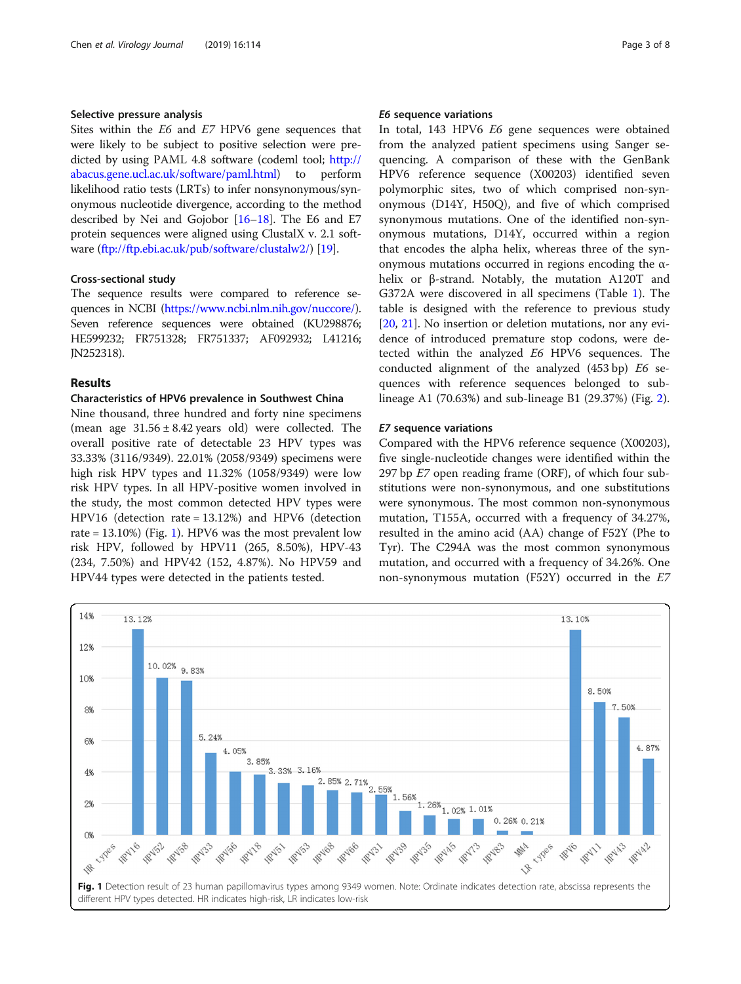#### Selective pressure analysis

Sites within the E6 and E7 HPV6 gene sequences that were likely to be subject to positive selection were predicted by using PAML 4.8 software (codeml tool; [http://](http://abacus.gene.ucl.ac.uk/software/paml.html) [abacus.gene.ucl.ac.uk/software/paml.html](http://abacus.gene.ucl.ac.uk/software/paml.html)) to perform likelihood ratio tests (LRTs) to infer nonsynonymous/synonymous nucleotide divergence, according to the method described by Nei and Gojobor [\[16](#page-7-0)–[18](#page-7-0)]. The E6 and E7 protein sequences were aligned using ClustalX v. 2.1 software [\(ftp://ftp.ebi.ac.uk/pub/software/clustalw2/\)](ftp://ftp.ebi.ac.uk/pub/software/clustalw2/) [[19](#page-7-0)].

#### Cross-sectional study

The sequence results were compared to reference sequences in NCBI [\(https://www.ncbi.nlm.nih.gov/nuccore/](https://www.ncbi.nlm.nih.gov/nuccore/)). Seven reference sequences were obtained (KU298876; HE599232; FR751328; FR751337; AF092932; L41216; JN252318).

#### Results

#### Characteristics of HPV6 prevalence in Southwest China

Nine thousand, three hundred and forty nine specimens (mean age  $31.56 \pm 8.42$  years old) were collected. The overall positive rate of detectable 23 HPV types was 33.33% (3116/9349). 22.01% (2058/9349) specimens were high risk HPV types and 11.32% (1058/9349) were low risk HPV types. In all HPV-positive women involved in the study, the most common detected HPV types were HPV16 (detection rate = 13.12%) and HPV6 (detection rate = 13.10%) (Fig. 1). HPV6 was the most prevalent low risk HPV, followed by HPV11 (265, 8.50%), HPV-43 (234, 7.50%) and HPV42 (152, 4.87%). No HPV59 and HPV44 types were detected in the patients tested.

#### E6 sequence variations

In total, 143 HPV6 E6 gene sequences were obtained from the analyzed patient specimens using Sanger sequencing. A comparison of these with the GenBank HPV6 reference sequence (X00203) identified seven polymorphic sites, two of which comprised non-synonymous (D14Y, H50Q), and five of which comprised synonymous mutations. One of the identified non-synonymous mutations, D14Y, occurred within a region that encodes the alpha helix, whereas three of the synonymous mutations occurred in regions encoding the αhelix or β-strand. Notably, the mutation A120T and G372A were discovered in all specimens (Table [1](#page-3-0)). The table is designed with the reference to previous study [[20,](#page-7-0) [21\]](#page-7-0). No insertion or deletion mutations, nor any evidence of introduced premature stop codons, were detected within the analyzed E6 HPV6 sequences. The conducted alignment of the analyzed (453 bp) E6 sequences with reference sequences belonged to sublineage A1 (70.63%) and sub-lineage B1 (29.37%) (Fig. [2](#page-3-0)).

#### E7 sequence variations

Compared with the HPV6 reference sequence (X00203), five single-nucleotide changes were identified within the 297 bp  $E$ 7 open reading frame (ORF), of which four substitutions were non-synonymous, and one substitutions were synonymous. The most common non-synonymous mutation, T155A, occurred with a frequency of 34.27%, resulted in the amino acid (AA) change of F52Y (Phe to Tyr). The C294A was the most common synonymous mutation, and occurred with a frequency of 34.26%. One non-synonymous mutation (F52Y) occurred in the E7

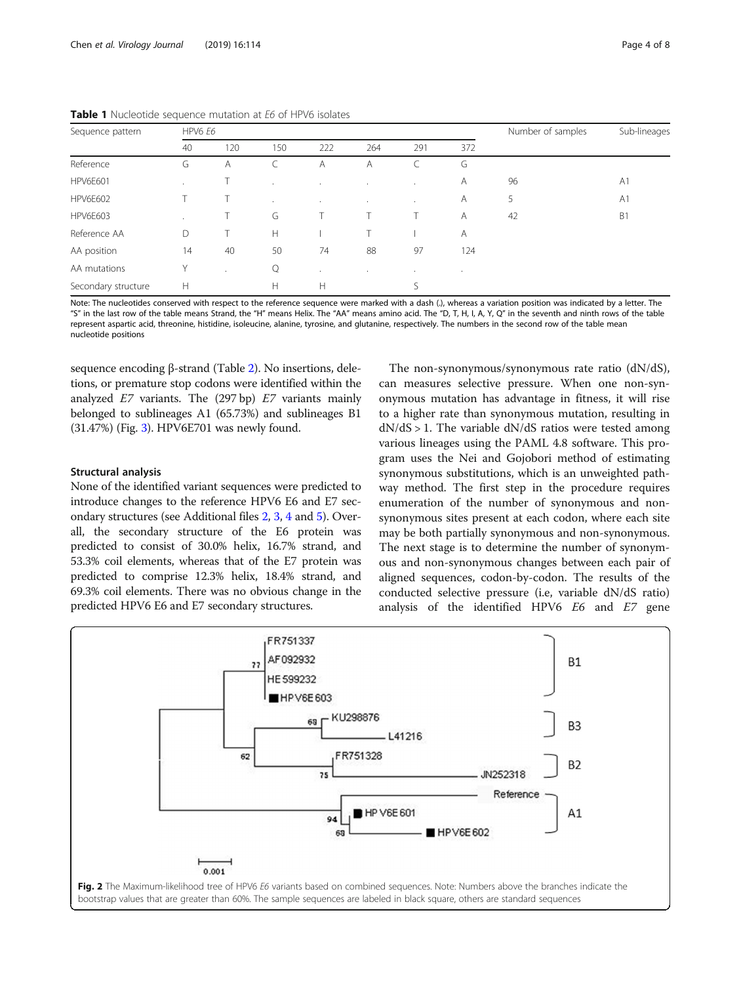| Sequence pattern    | HPV6 E6 |     |         | Number of samples    | Sub-lineages |              |     |    |                |
|---------------------|---------|-----|---------|----------------------|--------------|--------------|-----|----|----------------|
|                     | 40      | 120 | 150     | 222                  | 264          | 291          | 372 |    |                |
| Reference           | G       | A   |         | A                    | A            |              | G   |    |                |
| <b>HPV6E601</b>     | $\cdot$ |     | $\cdot$ |                      | $\cdot$      |              | Α   | 96 | A <sub>1</sub> |
| <b>HPV6E602</b>     |         |     | $\cdot$ | $\sim$               | $\cdot$      | $\mathbf{r}$ | Α   | 5  | A <sub>1</sub> |
| <b>HPV6E603</b>     | $\cdot$ |     | G       |                      |              | Τ            | A   | 42 | B1             |
| Reference AA        | D       |     | H       |                      |              |              | Α   |    |                |
| AA position         | 14      | 40  | 50      | 74                   | 88           | 97           | 124 |    |                |
| AA mutations        | Υ       |     | Q       | $\ddot{\phantom{a}}$ | $\cdot$      | $\cdot$      | ٠   |    |                |
| Secondary structure | H       |     | Н       | H                    |              |              |     |    |                |

<span id="page-3-0"></span>Table 1 Nucleotide sequence mutation at E6 of HPV6 isolates

Note: The nucleotides conserved with respect to the reference sequence were marked with a dash (.), whereas a variation position was indicated by a letter. The "S" in the last row of the table means Strand, the "H" means Helix. The "AA" means amino acid. The "D, T, H, I, A, Y, Q" in the seventh and ninth rows of the table represent aspartic acid, threonine, histidine, isoleucine, alanine, tyrosine, and glutanine, respectively. The numbers in the second row of the table mean nucleotide positions

sequence encoding β-strand (Table [2](#page-4-0)). No insertions, deletions, or premature stop codons were identified within the analyzed  $E7$  variants. The (297 bp)  $E7$  variants mainly belonged to sublineages A1 (65.73%) and sublineages B1 (31.47%) (Fig. [3](#page-4-0)). HPV6E701 was newly found.

#### Structural analysis

None of the identified variant sequences were predicted to introduce changes to the reference HPV6 E6 and E7 secondary structures (see Additional files [2](#page-6-0), [3](#page-6-0), [4](#page-6-0) and [5](#page-6-0)). Overall, the secondary structure of the E6 protein was predicted to consist of 30.0% helix, 16.7% strand, and 53.3% coil elements, whereas that of the E7 protein was predicted to comprise 12.3% helix, 18.4% strand, and 69.3% coil elements. There was no obvious change in the predicted HPV6 E6 and E7 secondary structures.

The non-synonymous/synonymous rate ratio (dN/dS), can measures selective pressure. When one non-synonymous mutation has advantage in fitness, it will rise to a higher rate than synonymous mutation, resulting in  $dN/dS > 1$ . The variable  $dN/dS$  ratios were tested among various lineages using the PAML 4.8 software. This program uses the Nei and Gojobori method of estimating synonymous substitutions, which is an unweighted pathway method. The first step in the procedure requires enumeration of the number of synonymous and nonsynonymous sites present at each codon, where each site may be both partially synonymous and non-synonymous. The next stage is to determine the number of synonymous and non-synonymous changes between each pair of aligned sequences, codon-by-codon. The results of the conducted selective pressure (i.e, variable dN/dS ratio) analysis of the identified HPV6 E6 and E7 gene

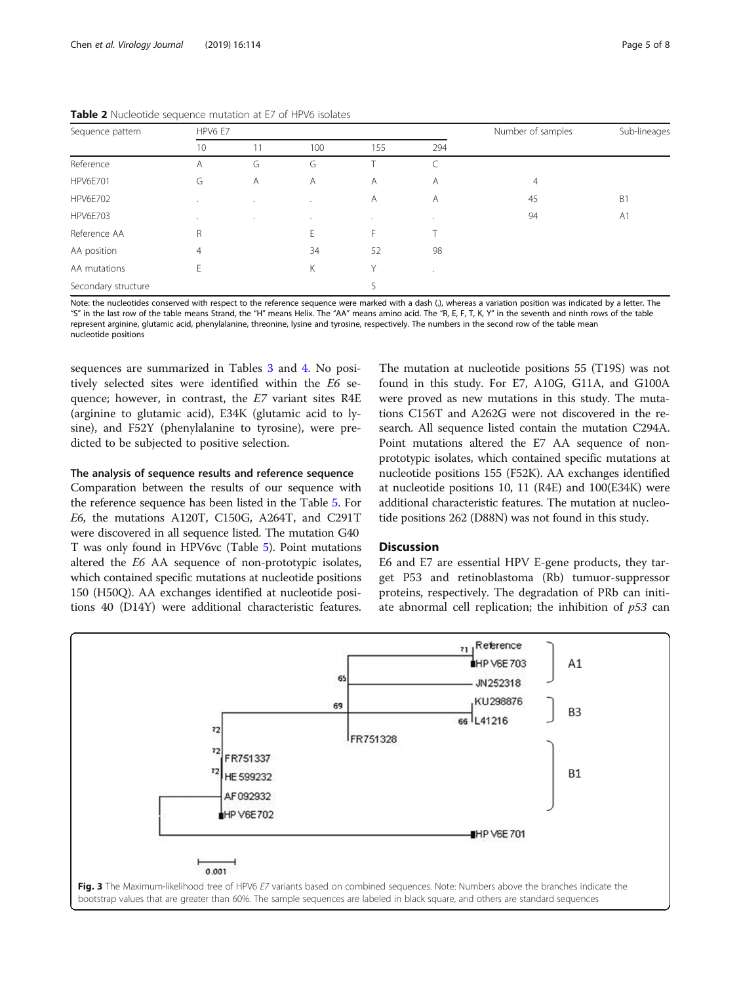| Sequence pattern    | HPV6 E7        |                |         | Number of samples | Sub-lineages |    |                |  |
|---------------------|----------------|----------------|---------|-------------------|--------------|----|----------------|--|
|                     | 10             | 11             | 100     | 155               | 294          |    |                |  |
| Reference           | A              | G              | G       |                   | C            |    |                |  |
| <b>HPV6E701</b>     | G              | $\overline{A}$ | A       | A                 | A            | 4  |                |  |
| <b>HPV6E702</b>     | $\cdot$        | $\cdot$        |         | Α                 | Α            | 45 | B <sub>1</sub> |  |
| <b>HPV6E703</b>     | $\cdot$        | $\sim$         | $\cdot$ | $\cdot$           | $\sim$       | 94 | A <sub>1</sub> |  |
| Reference AA        | R              |                | E       | F.                |              |    |                |  |
| AA position         | $\overline{4}$ |                | 34      | 52                | 98           |    |                |  |
| AA mutations        | Е              |                | Κ       | Υ                 |              |    |                |  |
| Secondary structure |                |                |         |                   |              |    |                |  |

<span id="page-4-0"></span>Table 2 Nucleotide sequence mutation at E7 of HPV6 isolates

Note: the nucleotides conserved with respect to the reference sequence were marked with a dash (.), whereas a variation position was indicated by a letter. The "S" in the last row of the table means Strand, the "H" means Helix. The "AA" means amino acid. The "R, E, F, T, K, Y" in the seventh and ninth rows of the table represent arginine, glutamic acid, phenylalanine, threonine, lysine and tyrosine, respectively. The numbers in the second row of the table mean nucleotide positions

sequences are summarized in Tables [3](#page-5-0) and [4.](#page-5-0) No positively selected sites were identified within the E6 sequence; however, in contrast, the E7 variant sites R4E (arginine to glutamic acid), E34K (glutamic acid to lysine), and F52Y (phenylalanine to tyrosine), were predicted to be subjected to positive selection.

#### The analysis of sequence results and reference sequence

Comparation between the results of our sequence with the reference sequence has been listed in the Table [5.](#page-6-0) For E6, the mutations A120T, C150G, A264T, and C291T were discovered in all sequence listed. The mutation G40 T was only found in HPV6vc (Table [5](#page-6-0)). Point mutations altered the E6 AA sequence of non-prototypic isolates, which contained specific mutations at nucleotide positions 150 (H50Q). AA exchanges identified at nucleotide positions 40 (D14Y) were additional characteristic features. The mutation at nucleotide positions 55 (T19S) was not found in this study. For E7, A10G, G11A, and G100A were proved as new mutations in this study. The mutations C156T and A262G were not discovered in the research. All sequence listed contain the mutation C294A. Point mutations altered the E7 AA sequence of nonprototypic isolates, which contained specific mutations at nucleotide positions 155 (F52K). AA exchanges identified at nucleotide positions 10, 11 (R4E) and 100(E34K) were additional characteristic features. The mutation at nucleotide positions 262 (D88N) was not found in this study.

#### **Discussion**

E6 and E7 are essential HPV E-gene products, they target P53 and retinoblastoma (Rb) tumuor-suppressor proteins, respectively. The degradation of PRb can initiate abnormal cell replication; the inhibition of  $p53$  can

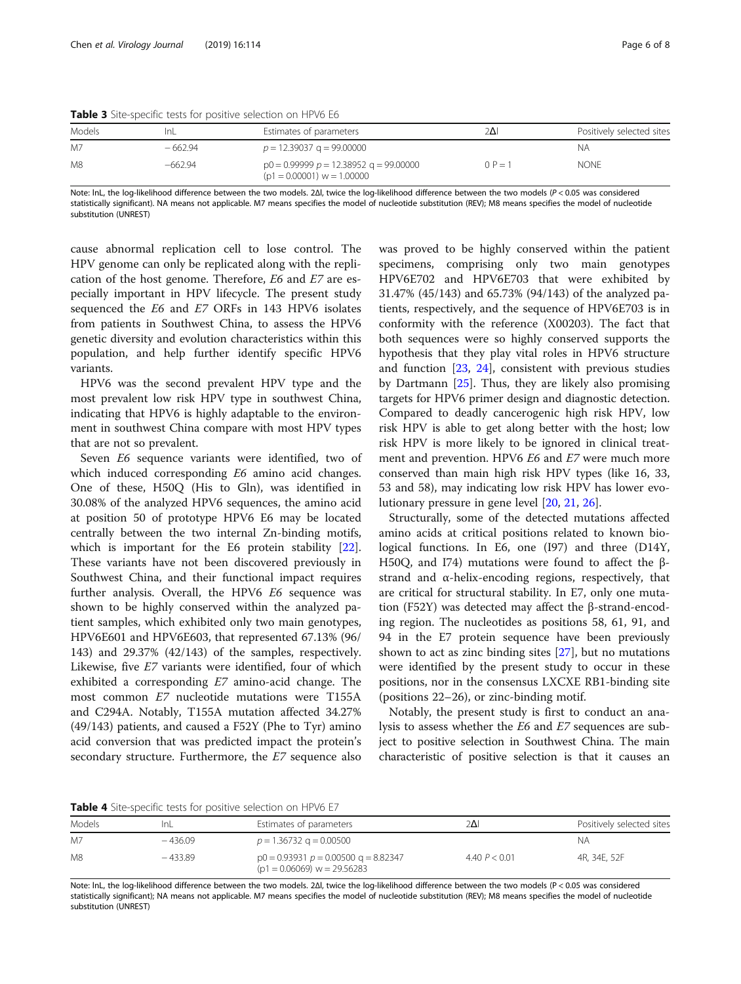<span id="page-5-0"></span>

|        | .         |                                                                            |           |                           |
|--------|-----------|----------------------------------------------------------------------------|-----------|---------------------------|
| Models | InL       | Estimates of parameters                                                    | 2Δ        | Positively selected sites |
| M7     | $-662.94$ | $p = 12.39037$ g = 99.00000                                                |           | ΝA                        |
| M8     | $-662.94$ | $p0 = 0.99999$ $p = 12.38952$ g = 99.00000<br>$(p1 = 0.00001)$ w = 1.00000 | $0 P = 1$ | <b>NONE</b>               |

Note: lnL, the log-likelihood difference between the two models. 2Δl, twice the log-likelihood difference between the two models (P < 0.05 was considered statistically significant). NA means not applicable. M7 means specifies the model of nucleotide substitution (REV); M8 means specifies the model of nucleotide substitution (UNREST)

cause abnormal replication cell to lose control. The HPV genome can only be replicated along with the replication of the host genome. Therefore, E6 and E7 are especially important in HPV lifecycle. The present study sequenced the E6 and E7 ORFs in 143 HPV6 isolates from patients in Southwest China, to assess the HPV6 genetic diversity and evolution characteristics within this population, and help further identify specific HPV6 variants.

HPV6 was the second prevalent HPV type and the most prevalent low risk HPV type in southwest China, indicating that HPV6 is highly adaptable to the environment in southwest China compare with most HPV types that are not so prevalent.

Seven E6 sequence variants were identified, two of which induced corresponding E6 amino acid changes. One of these, H50Q (His to Gln), was identified in 30.08% of the analyzed HPV6 sequences, the amino acid at position 50 of prototype HPV6 E6 may be located centrally between the two internal Zn-binding motifs, which is important for the E6 protein stability [\[22](#page-7-0)]. These variants have not been discovered previously in Southwest China, and their functional impact requires further analysis. Overall, the HPV6 E6 sequence was shown to be highly conserved within the analyzed patient samples, which exhibited only two main genotypes, HPV6E601 and HPV6E603, that represented 67.13% (96/ 143) and 29.37% (42/143) of the samples, respectively. Likewise, five E7 variants were identified, four of which exhibited a corresponding E7 amino-acid change. The most common E7 nucleotide mutations were T155A and C294A. Notably, T155A mutation affected 34.27% (49/143) patients, and caused a F52Y (Phe to Tyr) amino acid conversion that was predicted impact the protein's secondary structure. Furthermore, the E7 sequence also was proved to be highly conserved within the patient specimens, comprising only two main genotypes HPV6E702 and HPV6E703 that were exhibited by 31.47% (45/143) and 65.73% (94/143) of the analyzed patients, respectively, and the sequence of HPV6E703 is in conformity with the reference (X00203). The fact that both sequences were so highly conserved supports the hypothesis that they play vital roles in HPV6 structure and function [\[23](#page-7-0), [24\]](#page-7-0), consistent with previous studies by Dartmann [\[25](#page-7-0)]. Thus, they are likely also promising targets for HPV6 primer design and diagnostic detection. Compared to deadly cancerogenic high risk HPV, low risk HPV is able to get along better with the host; low risk HPV is more likely to be ignored in clinical treatment and prevention. HPV6 E6 and E7 were much more conserved than main high risk HPV types (like 16, 33, 53 and 58), may indicating low risk HPV has lower evolutionary pressure in gene level [[20,](#page-7-0) [21](#page-7-0), [26](#page-7-0)].

Structurally, some of the detected mutations affected amino acids at critical positions related to known biological functions. In E6, one (I97) and three (D14Y, H50Q, and I74) mutations were found to affect the βstrand and α-helix-encoding regions, respectively, that are critical for structural stability. In E7, only one mutation (F52Y) was detected may affect the β-strand-encoding region. The nucleotides as positions 58, 61, 91, and 94 in the E7 protein sequence have been previously shown to act as zinc binding sites  $[27]$ , but no mutations were identified by the present study to occur in these positions, nor in the consensus LXCXE RB1-binding site (positions 22–26), or zinc-binding motif.

Notably, the present study is first to conduct an analysis to assess whether the E6 and E7 sequences are subject to positive selection in Southwest China. The main characteristic of positive selection is that it causes an

Table 4 Site-specific tests for positive selection on HPV6 E7

| Models | InL       | Estimates of parameters                                                   | 2ΔΙ             | Positively selected sites |
|--------|-----------|---------------------------------------------------------------------------|-----------------|---------------------------|
| M7     | $-436.09$ | $p = 1.36732$ g = 0.00500                                                 |                 | ΝA                        |
| M8     | $-433.89$ | $p0 = 0.93931$ $p = 0.00500$ g = 8.82347<br>$(p1 = 0.06069)$ w = 29.56283 | 4.40 $P < 0.01$ | 4R, 34E, 52F              |

Note: lnL, the log-likelihood difference between the two models. 2Δl, twice the log-likelihood difference between the two models (P < 0.05 was considered statistically significant); NA means not applicable. M7 means specifies the model of nucleotide substitution (REV); M8 means specifies the model of nucleotide substitution (UNREST)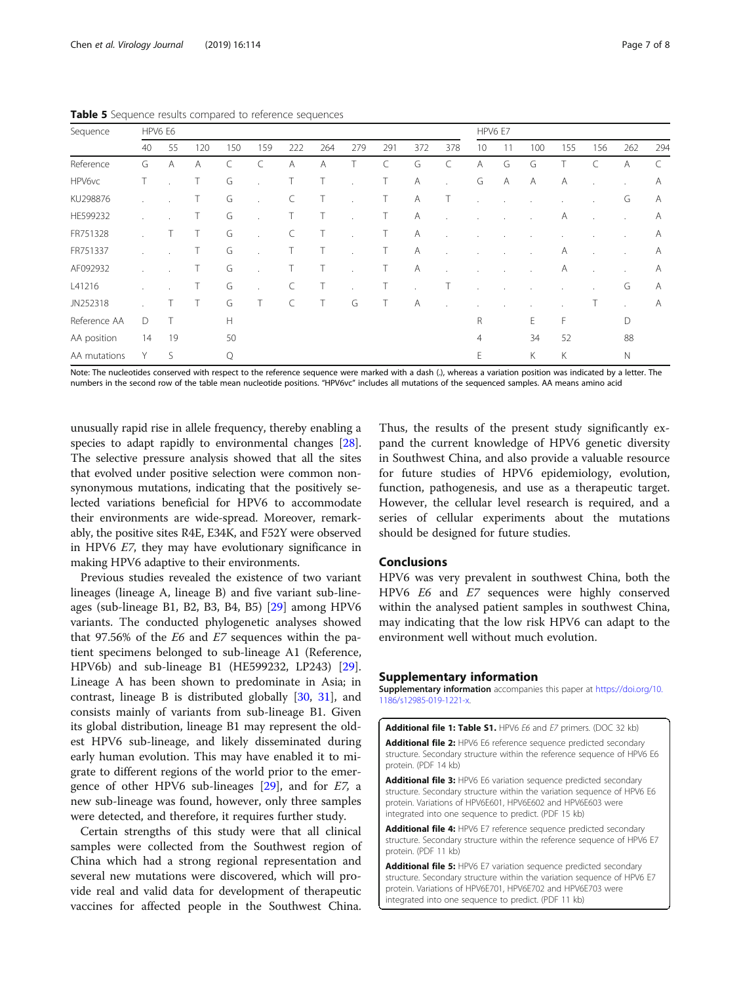|              | <b>Pable J</b> Sequence results compared to reference sequences |                |     |     |              |     |     |         |              |                         |              |                 |    |     |     |     |     |     |
|--------------|-----------------------------------------------------------------|----------------|-----|-----|--------------|-----|-----|---------|--------------|-------------------------|--------------|-----------------|----|-----|-----|-----|-----|-----|
| Sequence     | HPV6 E6                                                         |                |     |     |              |     |     |         |              |                         | HPV6 E7      |                 |    |     |     |     |     |     |
|              | 40                                                              | 55             | 120 | 150 | 159          | 222 | 264 | 279     | 291          | 372                     | 378          | 10 <sup>°</sup> | 11 | 100 | 155 | 156 | 262 | 294 |
| Reference    | G                                                               | $\overline{A}$ | A   | C   |              | Α   | Α   |         |              | G                       | C            | A               | G  | G   |     |     | Α   |     |
| HPV6vc       |                                                                 |                |     | G   |              |     | Τ   |         |              | A                       | $\lambda$    | G               | Α  | A   | Α   |     |     | A   |
| KU298876     |                                                                 |                |     | G   | $\mathbf{r}$ | C   | T   |         | $\mathbf{L}$ | A                       | $\top$       |                 |    |     |     |     | G   | A   |
| HE599232     |                                                                 |                |     | G   | $\sim$       | T.  | T.  | $\cdot$ | $\mathbf{L}$ | A                       | $\mathbf{r}$ |                 |    |     | Α   |     |     | Α   |
| FR751328     |                                                                 | T.             |     | G   | $\mathbf{r}$ | C   | T.  | $\cdot$ | $\mathbf{L}$ | <b>A</b>                | $\mathbf{r}$ |                 |    |     |     |     |     | A   |
| FR751337     |                                                                 |                |     | G   | $\mathbf{r}$ | T.  | T.  | $\cdot$ | $\mathbf{L}$ | A                       | $\epsilon$   |                 |    |     | Α   |     |     | A   |
| AF092932     |                                                                 |                |     | G   |              | T.  | T.  |         | T.           | A                       |              |                 |    |     | Α   |     |     | A   |
| L41216       |                                                                 |                |     | G   |              | C   | T.  |         | $-1$         | $\ddot{\phantom{0}}$    | $\top$       |                 |    |     |     |     | G   | A   |
| JN252318     |                                                                 | T.             |     | G   |              | C   | Т   | G       |              | $\overline{\mathsf{A}}$ | $\mathbf{r}$ |                 |    |     |     |     |     | A   |
| Reference AA | D                                                               |                |     | H   |              |     |     |         |              |                         |              | R               |    | Е   | F   |     | D   |     |
|              |                                                                 |                |     |     |              |     |     |         |              |                         |              |                 |    |     |     |     |     |     |

<span id="page-6-0"></span>Table 5 Sequence results compared to reference sequences

Note: The nucleotides conserved with respect to the reference sequence were marked with a dash (.), whereas a variation position was indicated by a letter. The numbers in the second row of the table mean nucleotide positions. "HPV6vc" includes all mutations of the sequenced samples. AA means amino acid

AA position 14 19 50 4 34 52 88 AA mutations Y S Q E K K N

unusually rapid rise in allele frequency, thereby enabling a species to adapt rapidly to environmental changes [[28](#page-7-0)]. The selective pressure analysis showed that all the sites that evolved under positive selection were common nonsynonymous mutations, indicating that the positively selected variations beneficial for HPV6 to accommodate their environments are wide-spread. Moreover, remarkably, the positive sites R4E, E34K, and F52Y were observed in HPV6 E7, they may have evolutionary significance in making HPV6 adaptive to their environments.

Previous studies revealed the existence of two variant lineages (lineage A, lineage B) and five variant sub-lineages (sub-lineage B1, B2, B3, B4, B5) [[29\]](#page-7-0) among HPV6 variants. The conducted phylogenetic analyses showed that 97.56% of the E6 and E7 sequences within the patient specimens belonged to sub-lineage A1 (Reference, HPV6b) and sub-lineage B1 (HE599232, LP243) [\[29](#page-7-0)]. Lineage A has been shown to predominate in Asia; in contrast, lineage B is distributed globally [\[30,](#page-7-0) [31\]](#page-7-0), and consists mainly of variants from sub-lineage B1. Given its global distribution, lineage B1 may represent the oldest HPV6 sub-lineage, and likely disseminated during early human evolution. This may have enabled it to migrate to different regions of the world prior to the emergence of other HPV6 sub-lineages  $[29]$ , and for  $E$ 7, a new sub-lineage was found, however, only three samples were detected, and therefore, it requires further study.

Certain strengths of this study were that all clinical samples were collected from the Southwest region of China which had a strong regional representation and several new mutations were discovered, which will provide real and valid data for development of therapeutic vaccines for affected people in the Southwest China.

Thus, the results of the present study significantly expand the current knowledge of HPV6 genetic diversity in Southwest China, and also provide a valuable resource for future studies of HPV6 epidemiology, evolution, function, pathogenesis, and use as a therapeutic target. However, the cellular level research is required, and a series of cellular experiments about the mutations should be designed for future studies.

#### Conclusions

HPV6 was very prevalent in southwest China, both the HPV6 E6 and E7 sequences were highly conserved within the analysed patient samples in southwest China, may indicating that the low risk HPV6 can adapt to the environment well without much evolution.

#### Supplementary information

Supplementary information accompanies this paper at [https://doi.org/10.](https://doi.org/10.1186/s12985-019-1221-x) [1186/s12985-019-1221-x](https://doi.org/10.1186/s12985-019-1221-x).

Additional file 1: Table S1. HPV6 E6 and E7 primers. (DOC 32 kb) Additional file 2: HPV6 E6 reference sequence predicted secondary structure. Secondary structure within the reference sequence of HPV6 E6 protein. (PDF 14 kb)

Additional file 3: HPV6 E6 variation sequence predicted secondary structure. Secondary structure within the variation sequence of HPV6 E6 protein. Variations of HPV6E601, HPV6E602 and HPV6E603 were integrated into one sequence to predict. (PDF 15 kb)

Additional file 4: HPV6 E7 reference sequence predicted secondary structure. Secondary structure within the reference sequence of HPV6 E7 protein. (PDF 11 kb)

Additional file 5: HPV6 E7 variation sequence predicted secondary structure. Secondary structure within the variation sequence of HPV6 E7 protein. Variations of HPV6E701, HPV6E702 and HPV6E703 were integrated into one sequence to predict. (PDF 11 kb)